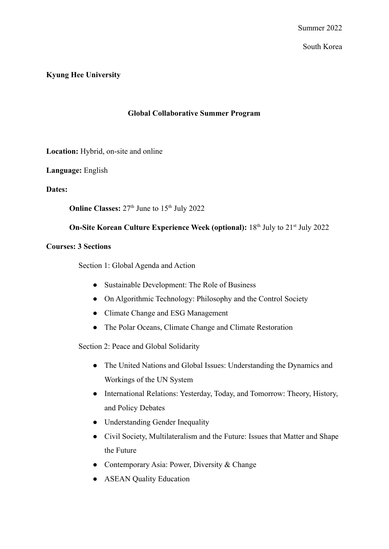South Korea

## **Kyung Hee University**

## **Global Collaborative Summer Program**

**Location:** Hybrid, on-site and online

**Language:** English

**Dates:**

**Online Classes:**  $27<sup>th</sup>$  June to  $15<sup>th</sup>$  July 2022

## **On-Site Korean Culture Experience Week (optional):** 18<sup>th</sup> July to 21<sup>st</sup> July 2022

#### **Courses: 3 Sections**

Section 1: Global Agenda and Action

- Sustainable Development: The Role of Business
- On Algorithmic Technology: Philosophy and the Control Society
- Climate Change and ESG Management
- The Polar Oceans, Climate Change and Climate Restoration

Section 2: Peace and Global Solidarity

- The United Nations and Global Issues: Understanding the Dynamics and Workings of the UN System
- International Relations: Yesterday, Today, and Tomorrow: Theory, History, and Policy Debates
- Understanding Gender Inequality
- Civil Society, Multilateralism and the Future: Issues that Matter and Shape the Future
- Contemporary Asia: Power, Diversity & Change
- ASEAN Quality Education